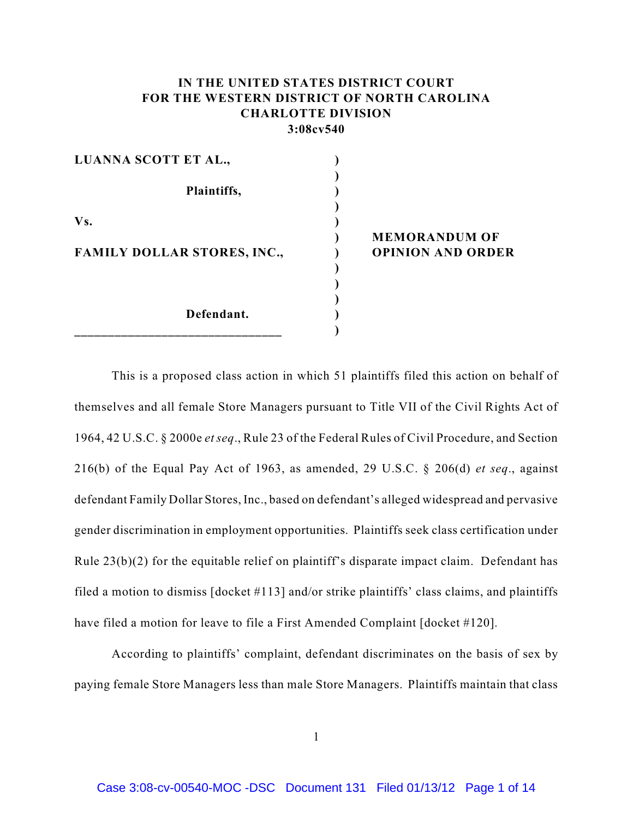# **IN THE UNITED STATES DISTRICT COURT FOR THE WESTERN DISTRICT OF NORTH CAROLINA CHARLOTTE DIVISION 3:08cv540**

| LUANNA SCOTT ET AL.,               |                          |
|------------------------------------|--------------------------|
|                                    |                          |
| Plaintiffs,                        |                          |
|                                    |                          |
| Vs.                                |                          |
|                                    | <b>MEMORANDUM OF</b>     |
| <b>FAMILY DOLLAR STORES, INC.,</b> | <b>OPINION AND ORDER</b> |
|                                    |                          |
|                                    |                          |
|                                    |                          |
| Defendant.                         |                          |
|                                    |                          |

 This is a proposed class action in which 51 plaintiffs filed this action on behalf of themselves and all female Store Managers pursuant to Title VII of the Civil Rights Act of 1964, 42 U.S.C. § 2000e *et seq*., Rule 23 of the Federal Rules of Civil Procedure, and Section 216(b) of the Equal Pay Act of 1963, as amended, 29 U.S.C. § 206(d) *et seq*., against defendant Family Dollar Stores, Inc., based on defendant's alleged widespread and pervasive gender discrimination in employment opportunities. Plaintiffs seek class certification under Rule 23(b)(2) for the equitable relief on plaintiff's disparate impact claim. Defendant has filed a motion to dismiss [docket #113] and/or strike plaintiffs' class claims, and plaintiffs have filed a motion for leave to file a First Amended Complaint [docket #120].

According to plaintiffs' complaint, defendant discriminates on the basis of sex by paying female Store Managers less than male Store Managers. Plaintiffs maintain that class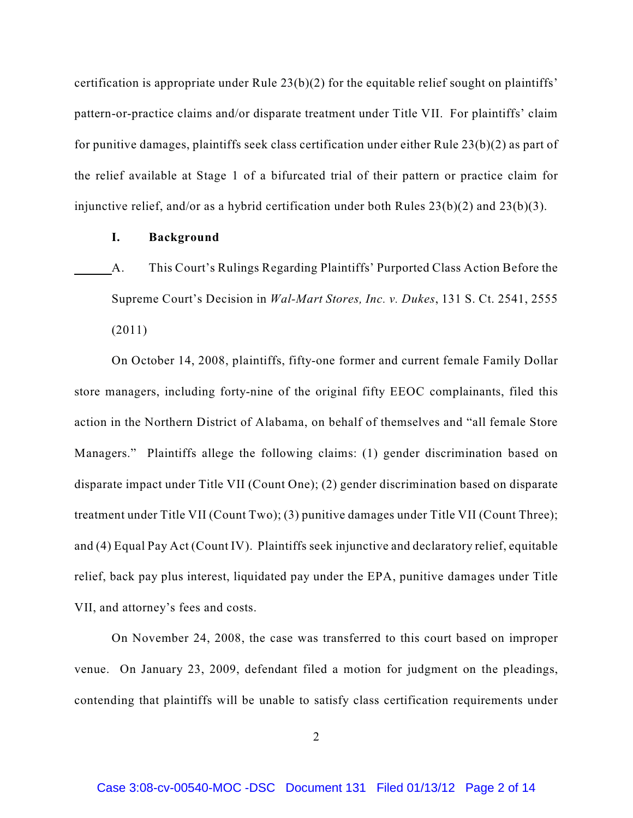certification is appropriate under Rule 23(b)(2) for the equitable relief sought on plaintiffs' pattern-or-practice claims and/or disparate treatment under Title VII. For plaintiffs' claim for punitive damages, plaintiffs seek class certification under either Rule 23(b)(2) as part of the relief available at Stage 1 of a bifurcated trial of their pattern or practice claim for injunctive relief, and/or as a hybrid certification under both Rules  $23(b)(2)$  and  $23(b)(3)$ .

#### **I. Background**

A. This Court's Rulings Regarding Plaintiffs' Purported Class Action Before the Supreme Court's Decision in *Wal-Mart Stores, Inc. v. Dukes*, 131 S. Ct. 2541, 2555 (2011)

On October 14, 2008, plaintiffs, fifty-one former and current female Family Dollar store managers, including forty-nine of the original fifty EEOC complainants, filed this action in the Northern District of Alabama, on behalf of themselves and "all female Store Managers." Plaintiffs allege the following claims: (1) gender discrimination based on disparate impact under Title VII (Count One); (2) gender discrimination based on disparate treatment under Title VII (Count Two); (3) punitive damages under Title VII (Count Three); and (4) Equal Pay Act (Count IV). Plaintiffs seek injunctive and declaratory relief, equitable relief, back pay plus interest, liquidated pay under the EPA, punitive damages under Title VII, and attorney's fees and costs.

On November 24, 2008, the case was transferred to this court based on improper venue. On January 23, 2009, defendant filed a motion for judgment on the pleadings, contending that plaintiffs will be unable to satisfy class certification requirements under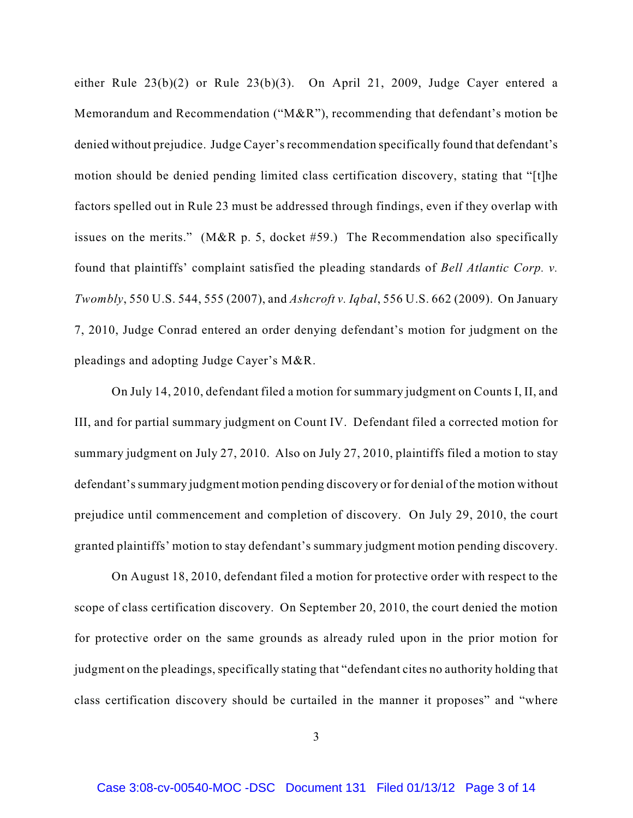either Rule 23(b)(2) or Rule 23(b)(3). On April 21, 2009, Judge Cayer entered a Memorandum and Recommendation ("M&R"), recommending that defendant's motion be denied without prejudice. Judge Cayer's recommendation specifically found that defendant's motion should be denied pending limited class certification discovery, stating that "[t]he factors spelled out in Rule 23 must be addressed through findings, even if they overlap with issues on the merits." (M&R p. 5, docket #59.) The Recommendation also specifically found that plaintiffs' complaint satisfied the pleading standards of *Bell Atlantic Corp. v. Twombly*, 550 U.S. 544, 555 (2007), and *Ashcroft v. Iqbal*, 556 U.S. 662 (2009). On January 7, 2010, Judge Conrad entered an order denying defendant's motion for judgment on the pleadings and adopting Judge Cayer's M&R.

On July 14, 2010, defendant filed a motion for summary judgment on Counts I, II, and III, and for partial summary judgment on Count IV. Defendant filed a corrected motion for summary judgment on July 27, 2010. Also on July 27, 2010, plaintiffs filed a motion to stay defendant's summary judgment motion pending discovery or for denial of the motion without prejudice until commencement and completion of discovery. On July 29, 2010, the court granted plaintiffs' motion to stay defendant's summary judgment motion pending discovery.

On August 18, 2010, defendant filed a motion for protective order with respect to the scope of class certification discovery. On September 20, 2010, the court denied the motion for protective order on the same grounds as already ruled upon in the prior motion for judgment on the pleadings, specifically stating that "defendant cites no authority holding that class certification discovery should be curtailed in the manner it proposes" and "where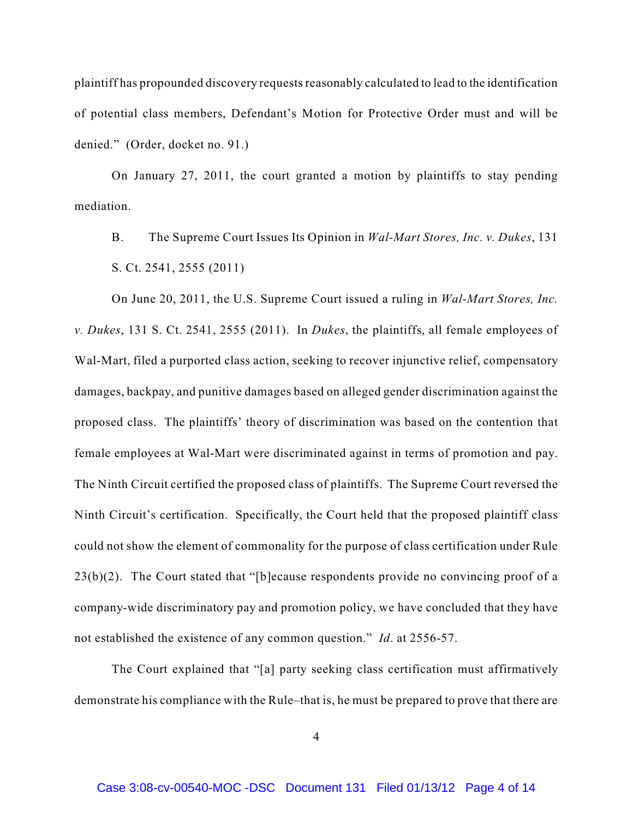plaintiff has propounded discovery requests reasonably calculated to lead to the identification of potential class members, Defendant's Motion for Protective Order must and will be denied." (Order, docket no. 91.)

On January 27, 2011, the court granted a motion by plaintiffs to stay pending mediation.

B. The Supreme Court Issues Its Opinion in *Wal-Mart Stores, Inc. v. Dukes*, 131 S. Ct. 2541, 2555 (2011)

On June 20, 2011, the U.S. Supreme Court issued a ruling in *Wal-Mart Stores, Inc. v. Dukes*, 131 S. Ct. 2541, 2555 (2011). In *Dukes*, the plaintiffs, all female employees of Wal-Mart, filed a purported class action, seeking to recover injunctive relief, compensatory damages, backpay, and punitive damages based on alleged gender discrimination against the proposed class. The plaintiffs' theory of discrimination was based on the contention that female employees at Wal-Mart were discriminated against in terms of promotion and pay. The Ninth Circuit certified the proposed class of plaintiffs. The Supreme Court reversed the Ninth Circuit's certification. Specifically, the Court held that the proposed plaintiff class could not show the element of commonality for the purpose of class certification under Rule 23(b)(2). The Court stated that "[b]ecause respondents provide no convincing proof of a company-wide discriminatory pay and promotion policy, we have concluded that they have not established the existence of any common question." *Id*. at 2556-57.

The Court explained that "[a] party seeking class certification must affirmatively demonstrate his compliance with the Rule–that is, he must be prepared to prove that there are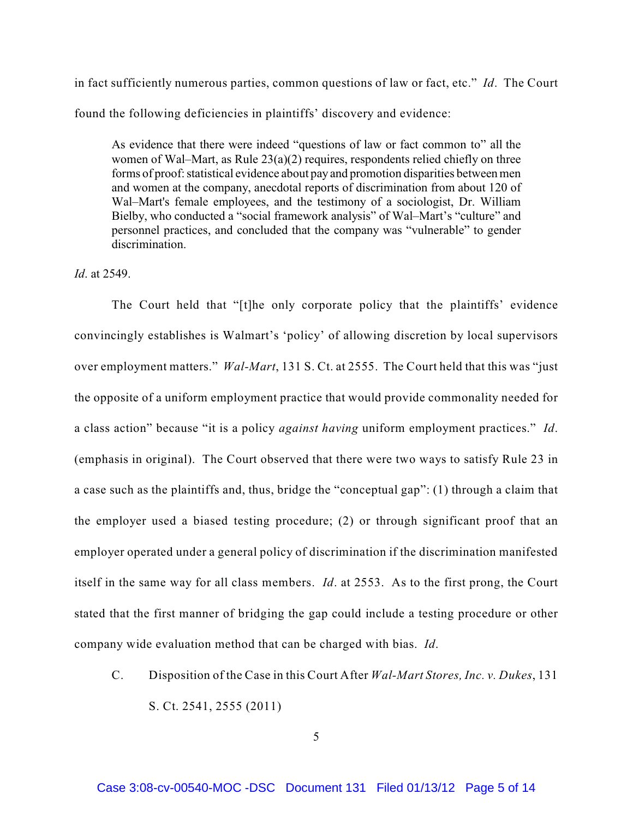in fact sufficiently numerous parties, common questions of law or fact, etc." *Id*. The Court found the following deficiencies in plaintiffs' discovery and evidence:

 As evidence that there were indeed "questions of law or fact common to" all the women of Wal–Mart, as Rule 23(a)(2) requires, respondents relied chiefly on three forms of proof: statistical evidence about pay and promotion disparities between men and women at the company, anecdotal reports of discrimination from about 120 of Wal–Mart's female employees, and the testimony of a sociologist, Dr. William Bielby, who conducted a "social framework analysis" of Wal–Mart's "culture" and personnel practices, and concluded that the company was "vulnerable" to gender discrimination.

*Id*. at 2549.

The Court held that "[t]he only corporate policy that the plaintiffs' evidence convincingly establishes is Walmart's 'policy' of allowing discretion by local supervisors over employment matters." *Wal-Mart*, 131 S. Ct. at 2555. The Court held that this was "just the opposite of a uniform employment practice that would provide commonality needed for a class action" because "it is a policy *against having* uniform employment practices." *Id*. (emphasis in original). The Court observed that there were two ways to satisfy Rule 23 in a case such as the plaintiffs and, thus, bridge the "conceptual gap": (1) through a claim that the employer used a biased testing procedure; (2) or through significant proof that an employer operated under a general policy of discrimination if the discrimination manifested itself in the same way for all class members. *Id*. at 2553. As to the first prong, the Court stated that the first manner of bridging the gap could include a testing procedure or other company wide evaluation method that can be charged with bias. *Id*.

C. Disposition of the Case in this Court After *Wal-Mart Stores, Inc. v. Dukes*, 131 S. Ct. 2541, 2555 (2011)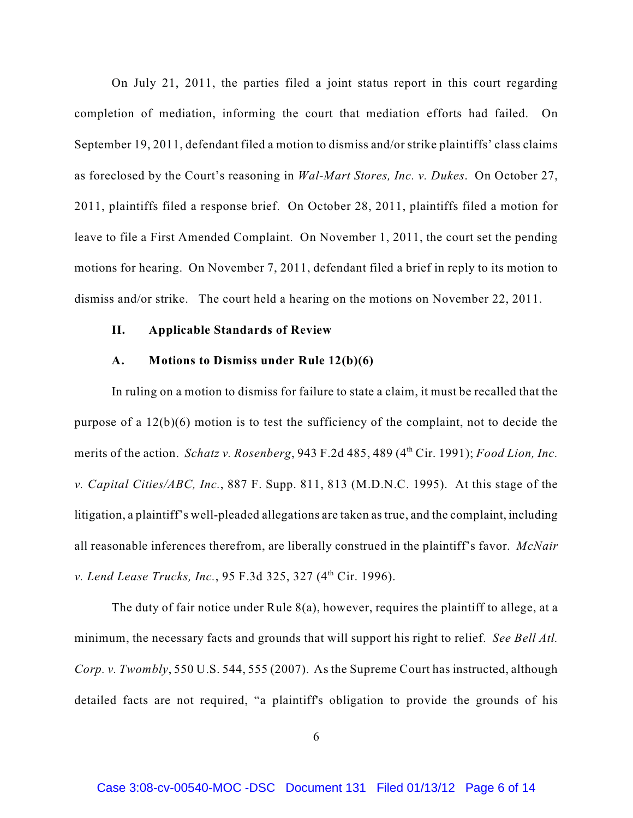On July 21, 2011, the parties filed a joint status report in this court regarding completion of mediation, informing the court that mediation efforts had failed. On September 19, 2011, defendant filed a motion to dismiss and/or strike plaintiffs' class claims as foreclosed by the Court's reasoning in *Wal-Mart Stores, Inc. v. Dukes*. On October 27, 2011, plaintiffs filed a response brief. On October 28, 2011, plaintiffs filed a motion for leave to file a First Amended Complaint. On November 1, 2011, the court set the pending motions for hearing. On November 7, 2011, defendant filed a brief in reply to its motion to dismiss and/or strike. The court held a hearing on the motions on November 22, 2011.

#### **II. Applicable Standards of Review**

### **A. Motions to Dismiss under Rule 12(b)(6)**

In ruling on a motion to dismiss for failure to state a claim, it must be recalled that the purpose of a 12(b)(6) motion is to test the sufficiency of the complaint, not to decide the merits of the action. *Schatz v. Rosenberg*, 943 F.2d 485, 489 (4<sup>th</sup> Cir. 1991); *Food Lion, Inc. v. Capital Cities/ABC, Inc.*, 887 F. Supp. 811, 813 (M.D.N.C. 1995). At this stage of the litigation, a plaintiff's well-pleaded allegations are taken as true, and the complaint, including all reasonable inferences therefrom, are liberally construed in the plaintiff's favor. *McNair v. Lend Lease Trucks, Inc.*, 95 F.3d 325, 327 (4<sup>th</sup> Cir. 1996).

The duty of fair notice under Rule 8(a), however, requires the plaintiff to allege, at a minimum, the necessary facts and grounds that will support his right to relief. *See Bell Atl. Corp. v. Twombly*, 550 U.S. 544, 555 (2007). As the Supreme Court has instructed, although detailed facts are not required, "a plaintiff's obligation to provide the grounds of his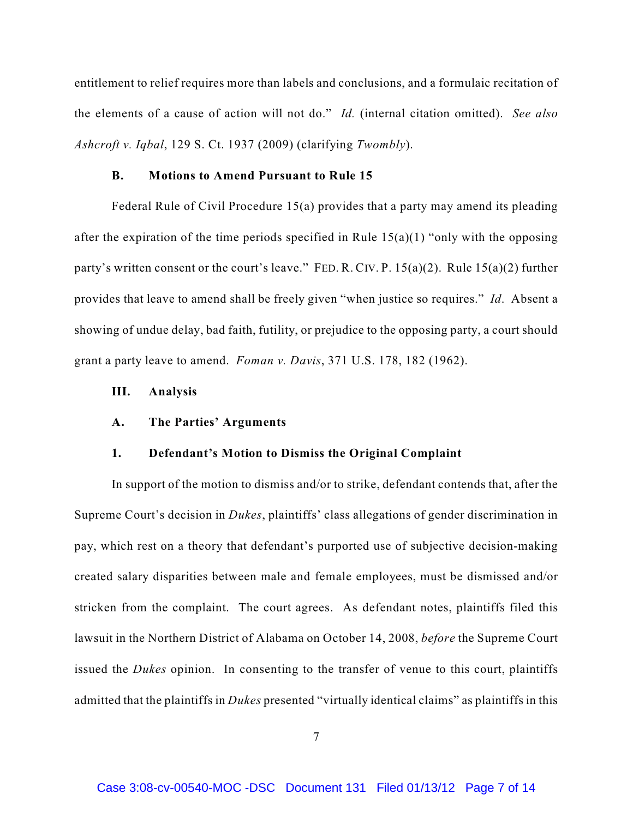entitlement to relief requires more than labels and conclusions, and a formulaic recitation of the elements of a cause of action will not do." *Id.* (internal citation omitted). *See also Ashcroft v. Iqbal*, 129 S. Ct. 1937 (2009) (clarifying *Twombly*).

### **B. Motions to Amend Pursuant to Rule 15**

Federal Rule of Civil Procedure 15(a) provides that a party may amend its pleading after the expiration of the time periods specified in Rule  $15(a)(1)$  "only with the opposing party's written consent or the court's leave." FED. R. CIV. P.  $15(a)(2)$ . Rule  $15(a)(2)$  further provides that leave to amend shall be freely given "when justice so requires." *Id*. Absent a showing of undue delay, bad faith, futility, or prejudice to the opposing party, a court should grant a party leave to amend. *Foman v. Davis*, 371 U.S. 178, 182 (1962).

## **III. Analysis**

#### **A. The Parties' Arguments**

#### **1. Defendant's Motion to Dismiss the Original Complaint**

In support of the motion to dismiss and/or to strike, defendant contends that, after the Supreme Court's decision in *Dukes*, plaintiffs' class allegations of gender discrimination in pay, which rest on a theory that defendant's purported use of subjective decision-making created salary disparities between male and female employees, must be dismissed and/or stricken from the complaint. The court agrees. As defendant notes, plaintiffs filed this lawsuit in the Northern District of Alabama on October 14, 2008, *before* the Supreme Court issued the *Dukes* opinion. In consenting to the transfer of venue to this court, plaintiffs admitted that the plaintiffs in *Dukes* presented "virtually identical claims" as plaintiffs in this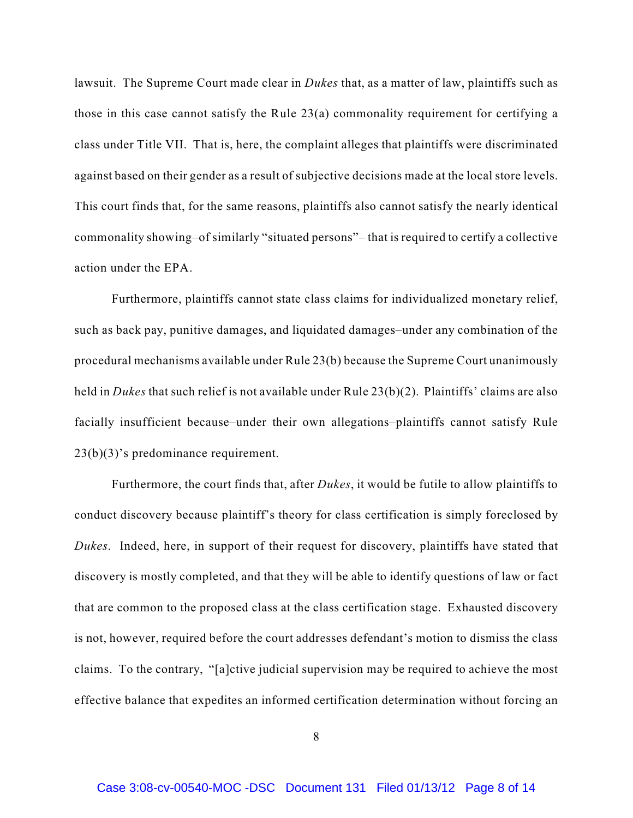lawsuit. The Supreme Court made clear in *Dukes* that, as a matter of law, plaintiffs such as those in this case cannot satisfy the Rule 23(a) commonality requirement for certifying a class under Title VII. That is, here, the complaint alleges that plaintiffs were discriminated against based on their gender as a result of subjective decisions made at the local store levels. This court finds that, for the same reasons, plaintiffs also cannot satisfy the nearly identical commonality showing–of similarly "situated persons"– that is required to certify a collective action under the EPA.

Furthermore, plaintiffs cannot state class claims for individualized monetary relief, such as back pay, punitive damages, and liquidated damages–under any combination of the procedural mechanisms available under Rule 23(b) because the Supreme Court unanimously held in *Dukes* that such relief is not available under Rule 23(b)(2). Plaintiffs' claims are also facially insufficient because–under their own allegations–plaintiffs cannot satisfy Rule 23(b)(3)'s predominance requirement.

Furthermore, the court finds that, after *Dukes*, it would be futile to allow plaintiffs to conduct discovery because plaintiff's theory for class certification is simply foreclosed by *Dukes*. Indeed, here, in support of their request for discovery, plaintiffs have stated that discovery is mostly completed, and that they will be able to identify questions of law or fact that are common to the proposed class at the class certification stage. Exhausted discovery is not, however, required before the court addresses defendant's motion to dismiss the class claims. To the contrary, "[a]ctive judicial supervision may be required to achieve the most effective balance that expedites an informed certification determination without forcing an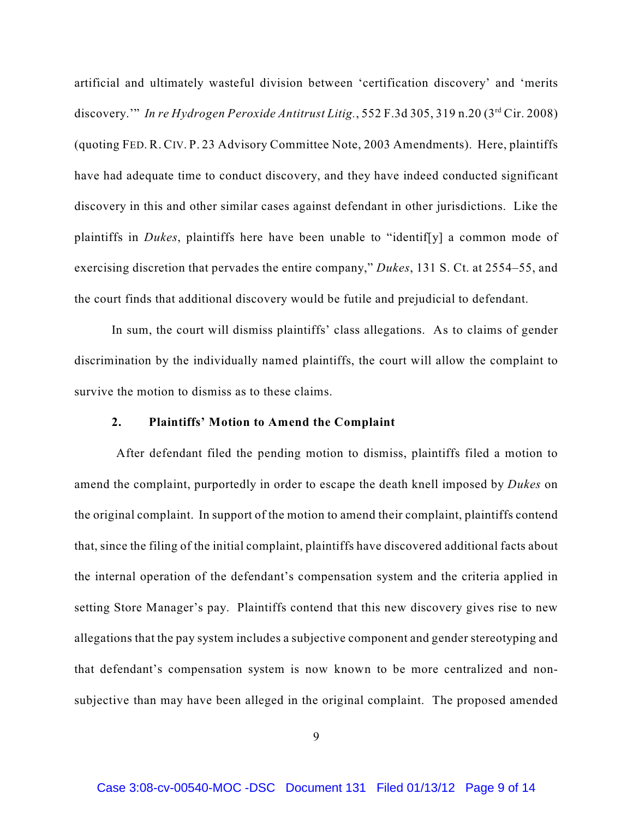artificial and ultimately wasteful division between 'certification discovery' and 'merits discovery." *In re Hydrogen Peroxide Antitrust Litig.*, 552 F.3d 305, 319 n.20 ( $3<sup>rd</sup> Cir. 2008$ ) (quoting FED. R. CIV. P. 23 Advisory Committee Note, 2003 Amendments). Here, plaintiffs have had adequate time to conduct discovery, and they have indeed conducted significant discovery in this and other similar cases against defendant in other jurisdictions. Like the plaintiffs in *Dukes*, plaintiffs here have been unable to "identif[y] a common mode of exercising discretion that pervades the entire company," *Dukes*, 131 S. Ct. at 2554–55, and the court finds that additional discovery would be futile and prejudicial to defendant.

In sum, the court will dismiss plaintiffs' class allegations. As to claims of gender discrimination by the individually named plaintiffs, the court will allow the complaint to survive the motion to dismiss as to these claims.

### **2. Plaintiffs' Motion to Amend the Complaint**

 After defendant filed the pending motion to dismiss, plaintiffs filed a motion to amend the complaint, purportedly in order to escape the death knell imposed by *Dukes* on the original complaint. In support of the motion to amend their complaint, plaintiffs contend that, since the filing of the initial complaint, plaintiffs have discovered additional facts about the internal operation of the defendant's compensation system and the criteria applied in setting Store Manager's pay. Plaintiffs contend that this new discovery gives rise to new allegations that the pay system includes a subjective component and gender stereotyping and that defendant's compensation system is now known to be more centralized and nonsubjective than may have been alleged in the original complaint. The proposed amended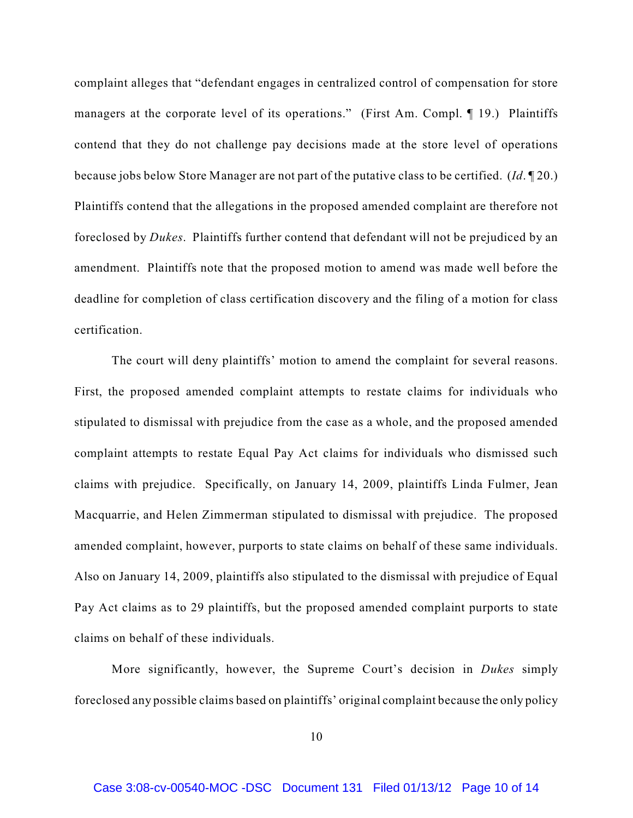complaint alleges that "defendant engages in centralized control of compensation for store managers at the corporate level of its operations." (First Am. Compl. ¶ 19.) Plaintiffs contend that they do not challenge pay decisions made at the store level of operations because jobs below Store Manager are not part of the putative class to be certified. (*Id*. ¶ 20.) Plaintiffs contend that the allegations in the proposed amended complaint are therefore not foreclosed by *Dukes*. Plaintiffs further contend that defendant will not be prejudiced by an amendment. Plaintiffs note that the proposed motion to amend was made well before the deadline for completion of class certification discovery and the filing of a motion for class certification.

The court will deny plaintiffs' motion to amend the complaint for several reasons. First, the proposed amended complaint attempts to restate claims for individuals who stipulated to dismissal with prejudice from the case as a whole, and the proposed amended complaint attempts to restate Equal Pay Act claims for individuals who dismissed such claims with prejudice. Specifically, on January 14, 2009, plaintiffs Linda Fulmer, Jean Macquarrie, and Helen Zimmerman stipulated to dismissal with prejudice. The proposed amended complaint, however, purports to state claims on behalf of these same individuals. Also on January 14, 2009, plaintiffs also stipulated to the dismissal with prejudice of Equal Pay Act claims as to 29 plaintiffs, but the proposed amended complaint purports to state claims on behalf of these individuals.

More significantly, however, the Supreme Court's decision in *Dukes* simply foreclosed any possible claims based on plaintiffs' original complaint because the only policy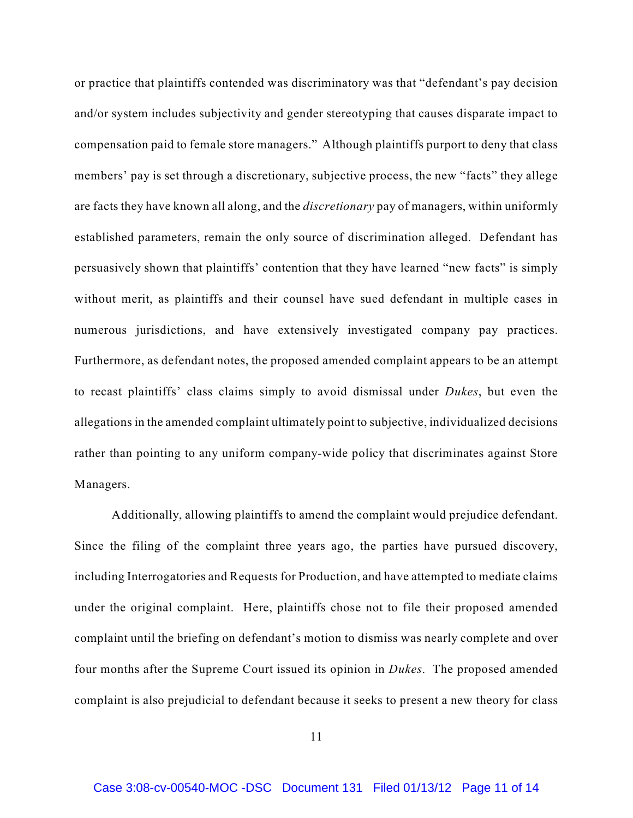or practice that plaintiffs contended was discriminatory was that "defendant's pay decision and/or system includes subjectivity and gender stereotyping that causes disparate impact to compensation paid to female store managers." Although plaintiffs purport to deny that class members' pay is set through a discretionary, subjective process, the new "facts" they allege are facts they have known all along, and the *discretionary* pay of managers, within uniformly established parameters, remain the only source of discrimination alleged. Defendant has persuasively shown that plaintiffs' contention that they have learned "new facts" is simply without merit, as plaintiffs and their counsel have sued defendant in multiple cases in numerous jurisdictions, and have extensively investigated company pay practices. Furthermore, as defendant notes, the proposed amended complaint appears to be an attempt to recast plaintiffs' class claims simply to avoid dismissal under *Dukes*, but even the allegations in the amended complaint ultimately point to subjective, individualized decisions rather than pointing to any uniform company-wide policy that discriminates against Store Managers.

Additionally, allowing plaintiffs to amend the complaint would prejudice defendant. Since the filing of the complaint three years ago, the parties have pursued discovery, including Interrogatories and Requests for Production, and have attempted to mediate claims under the original complaint. Here, plaintiffs chose not to file their proposed amended complaint until the briefing on defendant's motion to dismiss was nearly complete and over four months after the Supreme Court issued its opinion in *Dukes*. The proposed amended complaint is also prejudicial to defendant because it seeks to present a new theory for class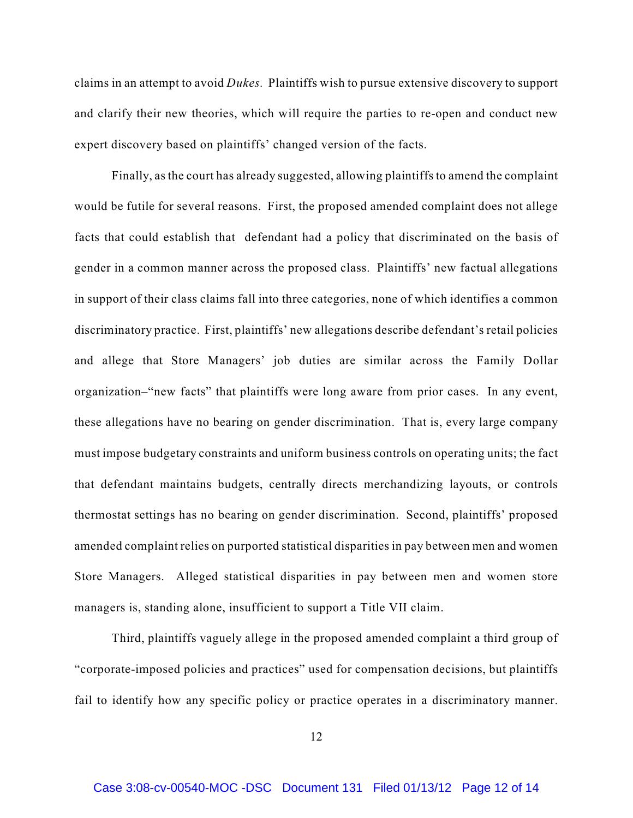claims in an attempt to avoid *Dukes.* Plaintiffs wish to pursue extensive discovery to support and clarify their new theories, which will require the parties to re-open and conduct new expert discovery based on plaintiffs' changed version of the facts.

Finally, as the court has already suggested, allowing plaintiffs to amend the complaint would be futile for several reasons. First, the proposed amended complaint does not allege facts that could establish that defendant had a policy that discriminated on the basis of gender in a common manner across the proposed class. Plaintiffs' new factual allegations in support of their class claims fall into three categories, none of which identifies a common discriminatory practice. First, plaintiffs' new allegations describe defendant's retail policies and allege that Store Managers' job duties are similar across the Family Dollar organization–"new facts" that plaintiffs were long aware from prior cases. In any event, these allegations have no bearing on gender discrimination. That is, every large company must impose budgetary constraints and uniform business controls on operating units; the fact that defendant maintains budgets, centrally directs merchandizing layouts, or controls thermostat settings has no bearing on gender discrimination. Second, plaintiffs' proposed amended complaint relies on purported statistical disparities in pay between men and women Store Managers. Alleged statistical disparities in pay between men and women store managers is, standing alone, insufficient to support a Title VII claim.

Third, plaintiffs vaguely allege in the proposed amended complaint a third group of "corporate-imposed policies and practices" used for compensation decisions, but plaintiffs fail to identify how any specific policy or practice operates in a discriminatory manner.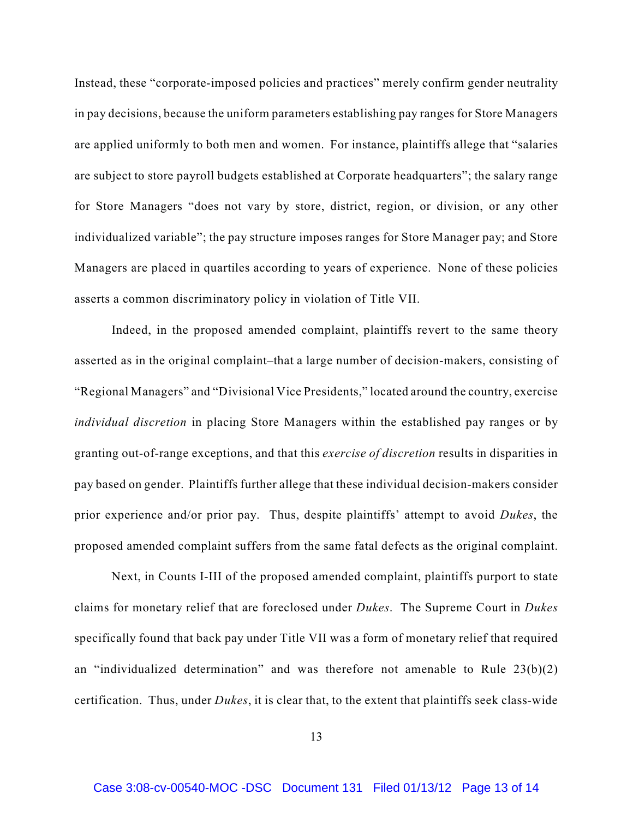Instead, these "corporate-imposed policies and practices" merely confirm gender neutrality in pay decisions, because the uniform parameters establishing pay ranges for Store Managers are applied uniformly to both men and women. For instance, plaintiffs allege that "salaries are subject to store payroll budgets established at Corporate headquarters"; the salary range for Store Managers "does not vary by store, district, region, or division, or any other individualized variable"; the pay structure imposes ranges for Store Manager pay; and Store Managers are placed in quartiles according to years of experience. None of these policies asserts a common discriminatory policy in violation of Title VII.

Indeed, in the proposed amended complaint, plaintiffs revert to the same theory asserted as in the original complaint–that a large number of decision-makers, consisting of "Regional Managers" and "Divisional Vice Presidents," located around the country, exercise *individual discretion* in placing Store Managers within the established pay ranges or by granting out-of-range exceptions, and that this *exercise of discretion* results in disparities in pay based on gender. Plaintiffs further allege that these individual decision-makers consider prior experience and/or prior pay. Thus, despite plaintiffs' attempt to avoid *Dukes*, the proposed amended complaint suffers from the same fatal defects as the original complaint.

Next, in Counts I-III of the proposed amended complaint, plaintiffs purport to state claims for monetary relief that are foreclosed under *Dukes*. The Supreme Court in *Dukes* specifically found that back pay under Title VII was a form of monetary relief that required an "individualized determination" and was therefore not amenable to Rule  $23(b)(2)$ certification. Thus, under *Dukes*, it is clear that, to the extent that plaintiffs seek class-wide